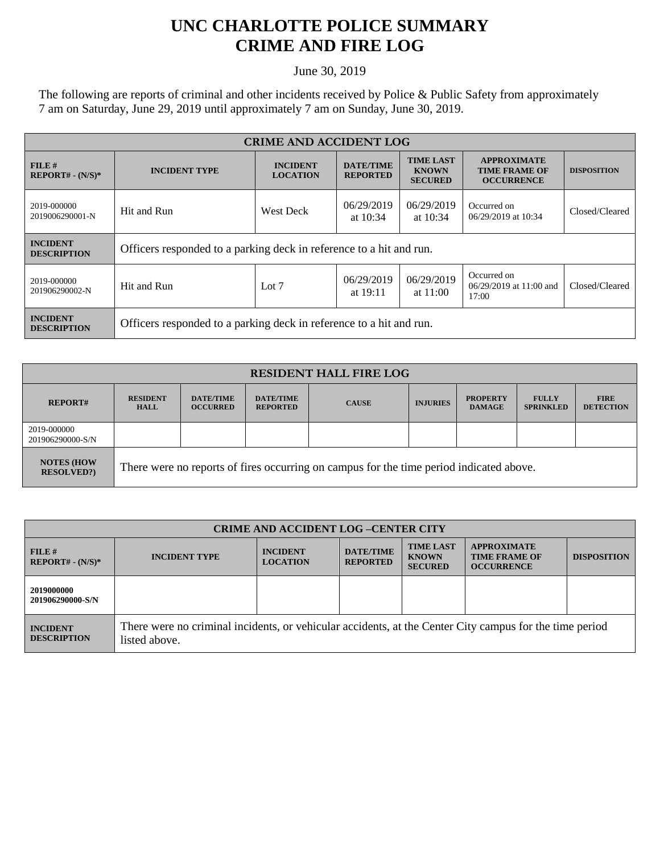## **UNC CHARLOTTE POLICE SUMMARY CRIME AND FIRE LOG**

June 30, 2019

The following are reports of criminal and other incidents received by Police & Public Safety from approximately 7 am on Saturday, June 29, 2019 until approximately 7 am on Sunday, June 30, 2019.

| <b>CRIME AND ACCIDENT LOG</b>         |                                                                     |                                                                          |                                     |                                                    |                                                                 |                    |  |
|---------------------------------------|---------------------------------------------------------------------|--------------------------------------------------------------------------|-------------------------------------|----------------------------------------------------|-----------------------------------------------------------------|--------------------|--|
| FILE#<br>$REPORT# - (N/S)*$           | <b>INCIDENT TYPE</b>                                                | <b>INCIDENT</b><br><b>LOCATION</b>                                       | <b>DATE/TIME</b><br><b>REPORTED</b> | <b>TIME LAST</b><br><b>KNOWN</b><br><b>SECURED</b> | <b>APPROXIMATE</b><br><b>TIME FRAME OF</b><br><b>OCCURRENCE</b> | <b>DISPOSITION</b> |  |
| 2019-000000<br>2019006290001-N        | Hit and Run                                                         | 06/29/2019<br>06/29/2019<br><b>West Deck</b><br>at $10:34$<br>at $10:34$ |                                     | Occurred on<br>06/29/2019 at 10:34                 | Closed/Cleared                                                  |                    |  |
| <b>INCIDENT</b><br><b>DESCRIPTION</b> | Officers responded to a parking deck in reference to a hit and run. |                                                                          |                                     |                                                    |                                                                 |                    |  |
| 2019-000000<br>201906290002-N         | Hit and Run                                                         | Lot $7$                                                                  | 06/29/2019<br>at $19:11$            | 06/29/2019<br>at $11:00$                           | Occurred on<br>06/29/2019 at 11:00 and<br>17:00                 | Closed/Cleared     |  |
| <b>INCIDENT</b><br><b>DESCRIPTION</b> | Officers responded to a parking deck in reference to a hit and run. |                                                                          |                                     |                                                    |                                                                 |                    |  |

| <b>RESIDENT HALL FIRE LOG</b>         |                                                                                         |                                     |                                     |              |                 |                                  |                                  |                                 |
|---------------------------------------|-----------------------------------------------------------------------------------------|-------------------------------------|-------------------------------------|--------------|-----------------|----------------------------------|----------------------------------|---------------------------------|
| <b>REPORT#</b>                        | <b>RESIDENT</b><br><b>HALL</b>                                                          | <b>DATE/TIME</b><br><b>OCCURRED</b> | <b>DATE/TIME</b><br><b>REPORTED</b> | <b>CAUSE</b> | <b>INJURIES</b> | <b>PROPERTY</b><br><b>DAMAGE</b> | <b>FULLY</b><br><b>SPRINKLED</b> | <b>FIRE</b><br><b>DETECTION</b> |
| 2019-000000<br>201906290000-S/N       |                                                                                         |                                     |                                     |              |                 |                                  |                                  |                                 |
| <b>NOTES (HOW</b><br><b>RESOLVED?</b> | There were no reports of fires occurring on campus for the time period indicated above. |                                     |                                     |              |                 |                                  |                                  |                                 |

| <b>CRIME AND ACCIDENT LOG-CENTER CITY</b> |                                                                                                                          |                                    |                                     |                                                    |                                                                 |                    |
|-------------------------------------------|--------------------------------------------------------------------------------------------------------------------------|------------------------------------|-------------------------------------|----------------------------------------------------|-----------------------------------------------------------------|--------------------|
| FILE#<br>$REPORT# - (N/S)*$               | <b>INCIDENT TYPE</b>                                                                                                     | <b>INCIDENT</b><br><b>LOCATION</b> | <b>DATE/TIME</b><br><b>REPORTED</b> | <b>TIME LAST</b><br><b>KNOWN</b><br><b>SECURED</b> | <b>APPROXIMATE</b><br><b>TIME FRAME OF</b><br><b>OCCURRENCE</b> | <b>DISPOSITION</b> |
| 2019000000<br>201906290000-S/N            |                                                                                                                          |                                    |                                     |                                                    |                                                                 |                    |
| <b>INCIDENT</b><br><b>DESCRIPTION</b>     | There were no criminal incidents, or vehicular accidents, at the Center City campus for the time period<br>listed above. |                                    |                                     |                                                    |                                                                 |                    |